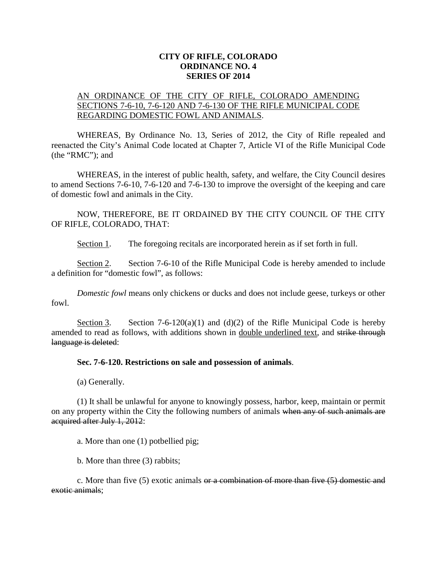## **CITY OF RIFLE, COLORADO ORDINANCE NO. 4 SERIES OF 2014**

## AN ORDINANCE OF THE CITY OF RIFLE, COLORADO AMENDING SECTIONS 7-6-10, 7-6-120 AND 7-6-130 OF THE RIFLE MUNICIPAL CODE REGARDING DOMESTIC FOWL AND ANIMALS.

WHEREAS, By Ordinance No. 13, Series of 2012, the City of Rifle repealed and reenacted the City's Animal Code located at Chapter 7, Article VI of the Rifle Municipal Code (the "RMC"); and

WHEREAS, in the interest of public health, safety, and welfare, the City Council desires to amend Sections 7-6-10, 7-6-120 and 7-6-130 to improve the oversight of the keeping and care of domestic fowl and animals in the City.

NOW, THEREFORE, BE IT ORDAINED BY THE CITY COUNCIL OF THE CITY OF RIFLE, COLORADO, THAT:

Section 1. The foregoing recitals are incorporated herein as if set forth in full.

Section 2. Section 7-6-10 of the Rifle Municipal Code is hereby amended to include a definition for "domestic fowl", as follows:

*Domestic fowl* means only chickens or ducks and does not include geese, turkeys or other fowl.

Section 3. Section 7-6-120(a)(1) and (d)(2) of the Rifle Municipal Code is hereby amended to read as follows, with additions shown in <u>double underlined text</u>, and strike through language is deleted:

## **Sec. 7-6-120. Restrictions on sale and possession of animals**.

(a) Generally.

(1) It shall be unlawful for anyone to knowingly possess, harbor, keep, maintain or permit on any property within the City the following numbers of animals when any of such animals are acquired after July 1, 2012:

a. More than one (1) potbellied pig;

b. More than three (3) rabbits;

c. More than five  $(5)$  exotic animals or a combination of more than five  $(5)$  domestic and exotic animals: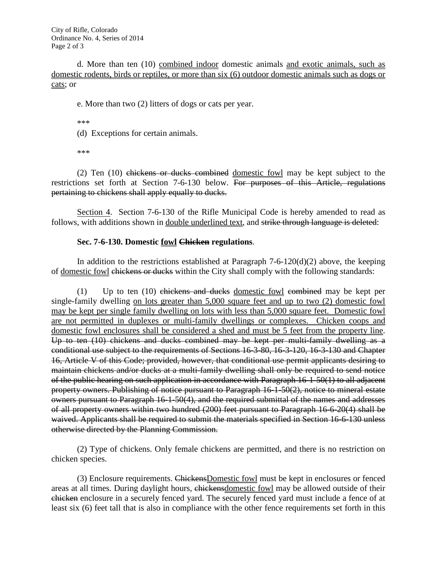City of Rifle, Colorado Ordinance No. 4, Series of 2014 Page 2 of 3

d. More than ten (10) combined indoor domestic animals and exotic animals, such as domestic rodents, birds or reptiles, or more than six (6) outdoor domestic animals such as dogs or cats; or

e. More than two (2) litters of dogs or cats per year.

\*\*\*

(d) Exceptions for certain animals.

\*\*\*

(2) Ten (10) chickens or ducks combined domestic fowl may be kept subject to the restrictions set forth at Section 7-6-130 below. For purposes of this Article, regulations pertaining to chickens shall apply equally to ducks.

Section 4. Section 7-6-130 of the Rifle Municipal Code is hereby amended to read as follows, with additions shown in <u>double underlined text</u>, and strike through language is deleted:

## **Sec. 7-6-130. Domestic fowl Chicken regulations**.

In addition to the restrictions established at Paragraph  $7-6-120(d)(2)$  above, the keeping of domestic fowl chickens or ducks within the City shall comply with the following standards:

(1) Up to ten  $(10)$  chickens and ducks domestic fowl combined may be kept per single-family dwelling on lots greater than 5,000 square feet and up to two (2) domestic fowl may be kept per single family dwelling on lots with less than 5,000 square feet. Domestic fowl are not permitted in duplexes or multi-family dwellings or complexes. Chicken coops and domestic fowl enclosures shall be considered a shed and must be 5 feet from the property line. Up to ten (10) chickens and ducks combined may be kept per multi-family dwelling as a conditional use subject to the requirements of Sections 16-3-80, 16-3-120, 16-3-130 and Chapter 16, Article V of this Code; provided, however, that conditional use permit applicants desiring to maintain chickens and/or ducks at a multi-family dwelling shall only be required to send notice of the public hearing on such application in accordance with Paragraph 16-1-50(1) to all adjacent property owners. Publishing of notice pursuant to Paragraph 16-1-50(2), notice to mineral estate owners pursuant to Paragraph 16-1-50(4), and the required submittal of the names and addresses of all property owners within two hundred (200) feet pursuant to Paragraph 16-6-20(4) shall be waived. Applicants shall be required to submit the materials specified in Section 16-6-130 unless otherwise directed by the Planning Commission.

(2) Type of chickens. Only female chickens are permitted, and there is no restriction on chicken species.

(3) Enclosure requirements. ChickensDomestic fowl must be kept in enclosures or fenced areas at all times. During daylight hours, chickensdomestic fowl may be allowed outside of their chicken enclosure in a securely fenced yard. The securely fenced yard must include a fence of at least six (6) feet tall that is also in compliance with the other fence requirements set forth in this